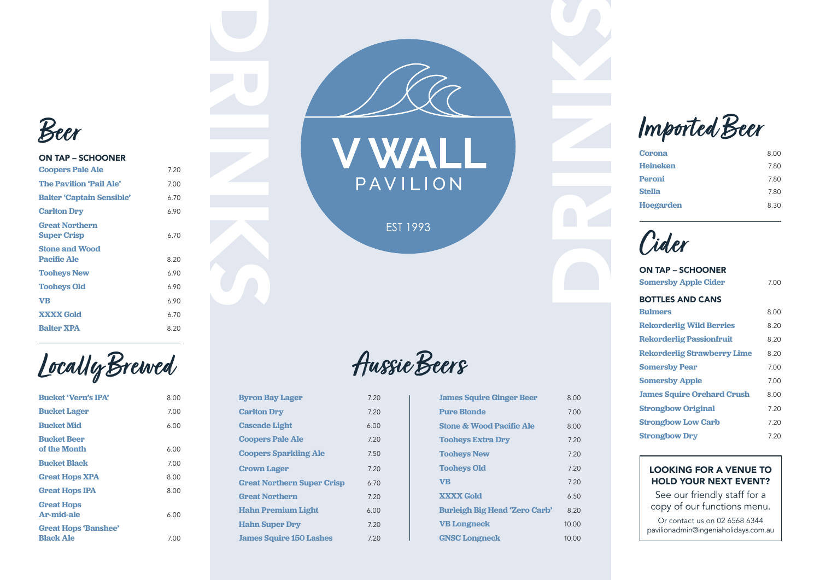**Byron Bay Lager** 7.20

**Carlton Dry** 7.20 **Cascade Light** 6.00

**Coopers Pale Ale** 7.20

**Coopers Sparkling Ale** 7.50

**Hahn Super Dry** 7.20 **James Squire 150 Lashes 7.20** 

**Crown Lager** 7.20 **Great Northern Super Crisp** 6.70 **Great Northern** 7.20

**Hahn Premium Light** 6.00

## **Aussie Beers**

| <b>James Squire Ginger Beer</b>      | 8.00  |
|--------------------------------------|-------|
| <b>Pure Blonde</b>                   | 7.00  |
| <b>Stone &amp; Wood Pacific Ale</b>  | 8.00  |
| <b>Tooheys Extra Dry</b>             | 7.20  |
| <b>Tooheys New</b>                   | 7.20  |
| <b>Tooheys Old</b>                   | 7.20  |
| <b>VB</b>                            | 7.20  |
| <b>XXXX Gold</b>                     | 6.50  |
| <b>Burleigh Big Head 'Zero Carb'</b> | 8.20  |
| <b>VB Longneck</b>                   | 10.00 |
| <b>GNSC Longneck</b>                 | 10.00 |



## ON TAP – SCHOONER

| <b>Coopers Pale Ale</b>                     | 7.20 |
|---------------------------------------------|------|
| <b>The Pavilion 'Pail Ale'</b>              | 7.00 |
| <b>Balter 'Captain Sensible'</b>            | 6.70 |
| <b>Carlton Dry</b>                          | 6.90 |
| <b>Great Northern</b><br><b>Super Crisp</b> | 6.70 |
| <b>Stone and Wood</b><br><b>Pacific Ale</b> | 8.20 |
| <b>Tooheys New</b>                          | 6.90 |
| <b>Tooheys Old</b>                          | 6.90 |
| VB                                          | 6.90 |
| <b>XXXX Gold</b>                            | 6.70 |
| <b>Balter XPA</b>                           | 8.20 |

**Locally Brewed**

| <b>Bucket 'Vern's IPA'</b>                      | 8.00 |
|-------------------------------------------------|------|
| <b>Bucket Lager</b>                             | 7.00 |
| <b>Bucket Mid</b>                               | 6.00 |
| <b>Bucket Beer</b>                              |      |
| of the Month                                    | 6.00 |
| <b>Bucket Black</b>                             | 7.00 |
| <b>Great Hops XPA</b>                           | 8.00 |
| <b>Great Hops IPA</b>                           | 8.00 |
| <b>Great Hops</b><br><b>Ar-mid-ale</b>          | 6.00 |
| <b>Great Hops 'Banshee'</b><br><b>Black Ale</b> |      |
|                                                 | 7.00 |





**EST 1993** 

**Imported Beer**

| <b>Corona</b>    | 8.00 |
|------------------|------|
| <b>Heineken</b>  | 7.80 |
| <b>Peroni</b>    | 7.80 |
| <b>Stella</b>    | 7.80 |
| <b>Hoegarden</b> | 8.30 |

**Cider**

| <b>ON TAP - SCHOONER</b>           |      |
|------------------------------------|------|
| <b>Somersby Apple Cider</b>        | 7.00 |
| <b>BOTTLES AND CANS</b>            |      |
| <b>Bulmers</b>                     | 8.00 |
| <b>Rekorderlig Wild Berries</b>    | 8.20 |
| <b>Rekorderlig Passionfruit</b>    | 8.20 |
| <b>Rekorderlig Strawberry Lime</b> | 8.20 |
| <b>Somersby Pear</b>               | 7.00 |
| <b>Somersby Apple</b>              | 7.00 |
| <b>James Squire Orchard Crush</b>  | 8.00 |
| <b>Strongbow Original</b>          | 7.20 |
| <b>Strongbow Low Carb</b>          | 7.20 |
| <b>Strongbow Dry</b>               | 7 20 |

## LOOKING FOR A VENUE TO HOLD YOUR NEXT EVENT?

See our friendly staff for a copy of our functions menu.

Or contact us on 02 6568 6344 pavilionadmin@ingeniaholidays.com.au